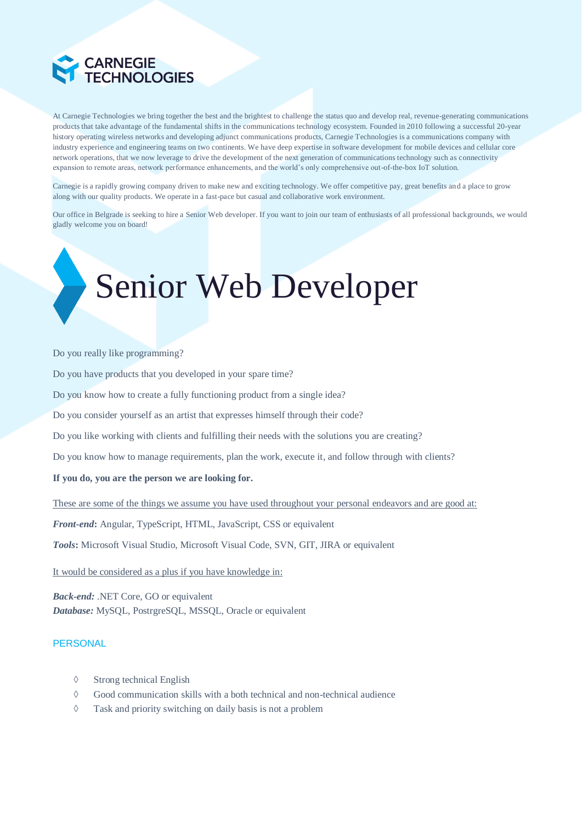

At Carnegie Technologies we bring together the best and the brightest to challenge the status quo and develop real, revenue-generating communications products that take advantage of the fundamental shifts in the communications technology ecosystem. Founded in 2010 following a successful 20-year history operating wireless networks and developing adjunct communications products, Carnegie Technologies is a communications company with industry experience and engineering teams on two continents. We have deep expertise in software development for mobile devices and cellular core network operations, that we now leverage to drive the development of the next generation of communications technology such as connectivity expansion to remote areas, network performance enhancements, and the world's only comprehensive out-of-the-box IoT solution.

Carnegie is a rapidly growing company driven to make new and exciting technology. We offer competitive pay, great benefits and a place to grow along with our quality products. We operate in a fast-pace but casual and collaborative work environment.

Our office in Belgrade is seeking to hire a Senior Web developer. If you want to join our team of enthusiasts of all professional backgrounds, we would gladly welcome you on board!

# Senior Web Developer

#### Do you really like programming?

Do you have products that you developed in your spare time?

Do you know how to create a fully functioning product from a single idea?

Do you consider yourself as an artist that expresses himself through their code?

Do you like working with clients and fulfilling their needs with the solutions you are creating?

Do you know how to manage requirements, plan the work, execute it, and follow through with clients?

#### **If you do, you are the person we are looking for.**

These are some of the things we assume you have used throughout your personal endeavors and are good at:

*Front-end***:** Angular, TypeScript, HTML, JavaScript, CSS or equivalent

*Tools***:** Microsoft Visual Studio, Microsoft Visual Code, SVN, GIT, JIRA or equivalent

It would be considered as a plus if you have knowledge in:

*Back-end:* .NET Core, GO or equivalent *Database:* MySQL, PostrgreSQL, MSSQL, Oracle or equivalent

### **PERSONAL**

- $\Diamond$  Strong technical English
- $\Diamond$  Good communication skills with a both technical and non-technical audience
- Task and priority switching on daily basis is not a problem